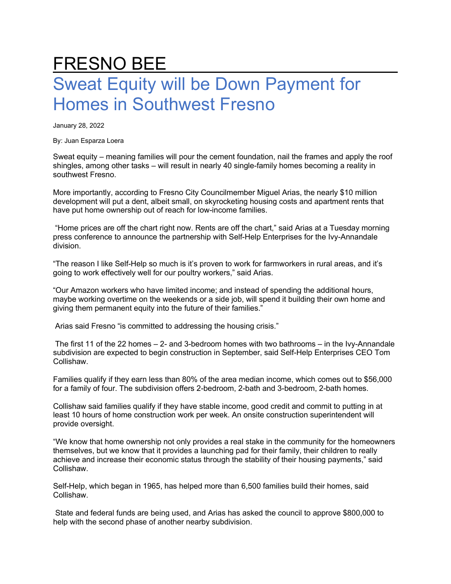## FRESNO BEE Sweat Equity will be Down Payment for Homes in Southwest Fresno

January 28, 2022

By: Juan Esparza Loera

Sweat equity – meaning families will pour the cement foundation, nail the frames and apply the roof shingles, among other tasks – will result in nearly 40 single-family homes becoming a reality in southwest Fresno.

More importantly, according to Fresno City Councilmember Miguel Arias, the nearly \$10 million development will put a dent, albeit small, on skyrocketing housing costs and apartment rents that have put home ownership out of reach for low-income families.

"Home prices are off the chart right now. Rents are off the chart," said Arias at a Tuesday morning press conference to announce the partnership with Self-Help Enterprises for the Ivy-Annandale division.

"The reason I like Self-Help so much is it's proven to work for farmworkers in rural areas, and it's going to work effectively well for our poultry workers," said Arias.

"Our Amazon workers who have limited income; and instead of spending the additional hours, maybe working overtime on the weekends or a side job, will spend it building their own home and giving them permanent equity into the future of their families."

Arias said Fresno "is committed to addressing the housing crisis."

The first 11 of the 22 homes  $-2$ - and 3-bedroom homes with two bathrooms  $-$  in the Ivy-Annandale subdivision are expected to begin construction in September, said Self-Help Enterprises CEO Tom Collishaw.

Families qualify if they earn less than 80% of the area median income, which comes out to \$56,000 for a family of four. The subdivision offers 2-bedroom, 2-bath and 3-bedroom, 2-bath homes.

Collishaw said families qualify if they have stable income, good credit and commit to putting in at least 10 hours of home construction work per week. An onsite construction superintendent will provide oversight.

"We know that home ownership not only provides a real stake in the community for the homeowners themselves, but we know that it provides a launching pad for their family, their children to really achieve and increase their economic status through the stability of their housing payments," said Collishaw.

Self-Help, which began in 1965, has helped more than 6,500 families build their homes, said Collishaw.

State and federal funds are being used, and Arias has asked the council to approve \$800,000 to help with the second phase of another nearby subdivision.